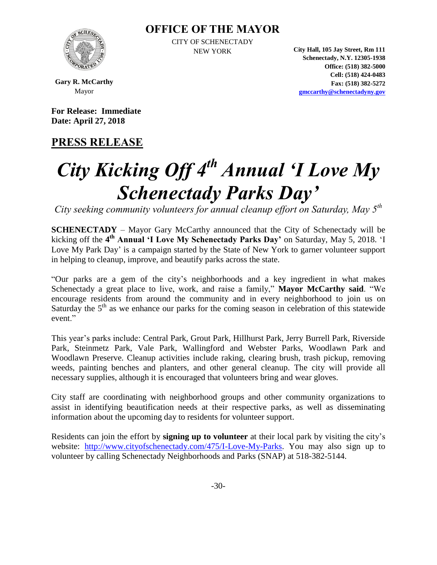#### **OFFICE OF THE MAYOR**



CITY OF SCHENECTADY

NEW YORK **City Hall, 105 Jay Street, Rm 111 Schenectady, N.Y. 12305-1938 Office: (518) 382-5000 Cell: (518) 424-0483 Fax: (518) 382-5272 [gmccarthy@schenectadyny.gov](mailto:gmccarthy@schenectadyny.gov)**

**Gary R. McCarthy** Mayor

**For Release: Immediate Date: April 27, 2018**

### **PRESS RELEASE**

# *City Kicking Off 4th Annual 'I Love My Schenectady Parks Day'*

*City seeking community volunteers for annual cleanup effort on Saturday, May 5th*

**SCHENECTADY** – Mayor Gary McCarthy announced that the City of Schenectady will be kicking off the 4<sup>th</sup> Annual 'I Love My Schenectady Parks Day' on Saturday, May 5, 2018. 'I Love My Park Day' is a campaign started by the State of New York to garner volunteer support in helping to cleanup, improve, and beautify parks across the state.

"Our parks are a gem of the city's neighborhoods and a key ingredient in what makes Schenectady a great place to live, work, and raise a family," **Mayor McCarthy said**. "We encourage residents from around the community and in every neighborhood to join us on Saturday the  $5<sup>th</sup>$  as we enhance our parks for the coming season in celebration of this statewide event."

This year's parks include: Central Park, Grout Park, Hillhurst Park, Jerry Burrell Park, Riverside Park, Steinmetz Park, Vale Park, Wallingford and Webster Parks, Woodlawn Park and Woodlawn Preserve. Cleanup activities include raking, clearing brush, trash pickup, removing weeds, painting benches and planters, and other general cleanup. The city will provide all necessary supplies, although it is encouraged that volunteers bring and wear gloves.

City staff are coordinating with neighborhood groups and other community organizations to assist in identifying beautification needs at their respective parks, as well as disseminating information about the upcoming day to residents for volunteer support.

Residents can join the effort by **signing up to volunteer** at their local park by visiting the city's website: [http://www.cityofschenectady.com/475/I-Love-My-Parks.](http://www.cityofschenectady.com/475/I-Love-My-Parks) You may also sign up to volunteer by calling Schenectady Neighborhoods and Parks (SNAP) at 518-382-5144.